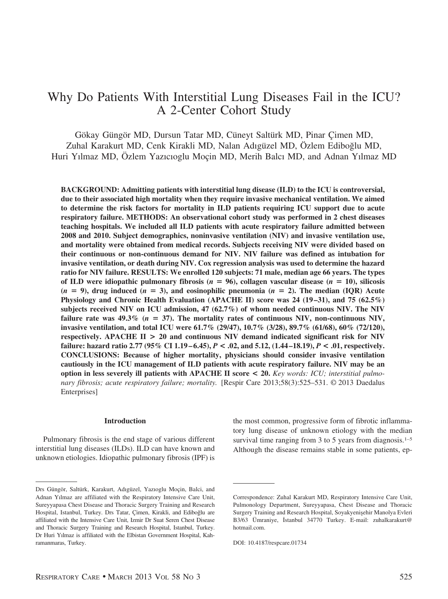# Why Do Patients With Interstitial Lung Diseases Fail in the ICU? A 2-Center Cohort Study

Gökay Güngör MD, Dursun Tatar MD, Cüneyt Saltürk MD, Pinar Cimen MD, Zuhal Karakurt MD, Cenk Kirakli MD, Nalan Adıgüzel MD, Özlem Ediboğlu MD, Huri Yılmaz MD, Özlem Yazıcıoglu Moçin MD, Merih Balcı MD, and Adnan Yılmaz MD

**BACKGROUND: Admitting patients with interstitial lung disease (ILD) to the ICU is controversial, due to their associated high mortality when they require invasive mechanical ventilation. We aimed to determine the risk factors for mortality in ILD patients requiring ICU support due to acute respiratory failure. METHODS: An observational cohort study was performed in 2 chest diseases teaching hospitals. We included all ILD patients with acute respiratory failure admitted between 2008 and 2010. Subject demographics, noninvasive ventilation (NIV) and invasive ventilation use, and mortality were obtained from medical records. Subjects receiving NIV were divided based on their continuous or non-continuous demand for NIV. NIV failure was defined as intubation for invasive ventilation, or death during NIV. Cox regression analysis was used to determine the hazard ratio for NIV failure. RESULTS: We enrolled 120 subjects: 71 male, median age 66 years. The types** of ILD were idiopathic pulmonary fibrosis ( $n = 96$ ), collagen vascular disease ( $n = 10$ ), silicosis  $(n = 9)$ , drug induced  $(n = 3)$ , and eosinophilic pneumonia  $(n = 2)$ . The median  $(IQR)$  Acute **Physiology and Chronic Health Evaluation (APACHE II) score was 24 (19 –31), and 75 (62.5%) subjects received NIV on ICU admission, 47 (62.7%) of whom needed continuous NIV. The NIV** failure rate was  $49.3\%$  ( $n = 37$ ). The mortality rates of continuous NIV, non-continuous NIV, **invasive ventilation, and total ICU were 61.7% (29/47), 10.7% (3/28), 89.7% (61/68), 60% (72/120), respectively. APACHE II > 20 and continuous NIV demand indicated significant risk for NIV failure: hazard ratio 2.77 (95% CI 1.19 – 6.45),** *P* **< .02, and 5.12, (1.44 –18.19),** *P* **< .01, respectively. CONCLUSIONS: Because of higher mortality, physicians should consider invasive ventilation cautiously in the ICU management of ILD patients with acute respiratory failure. NIV may be an option in less severely ill patients with APACHE II score < 20.** *Key words: ICU; interstitial pulmonary fibrosis; acute respiratory failure; mortality.* [Respir Care 2013;58(3):525–531. © 2013 Daedalus Enterprises]

### **Introduction**

Pulmonary fibrosis is the end stage of various different interstitial lung diseases (ILDs). ILD can have known and unknown etiologies. Idiopathic pulmonary fibrosis (IPF) is

the most common, progressive form of fibrotic inflammatory lung disease of unknown etiology with the median survival time ranging from 3 to 5 years from diagnosis.<sup>1–5</sup> Although the disease remains stable in some patients, ep-

Drs Güngör, Saltürk, Karakurt, Adıgüzel, Yazıoglu Moçin, Balci, and Adnan Yılmaz are affiliated with the Respiratory Intensive Care Unit, Sureyyapasa Chest Disease and Thoracic Surgery Training and Research Hospital, Istanbul, Turkey. Drs Tatar, Çimen, Kirakli, and Ediboğlu are affiliated with the Intensive Care Unit, Izmir Dr Suat Seren Chest Disease and Thoracic Surgery Training and Research Hospital, Istanbul, Turkey. Dr Huri Yılmaz is affiliated with the Elbistan Government Hospital, Kahramanmaras, Turkey.

Correspondence: Zuhal Karakurt MD, Respiratory Intensive Care Unit, Pulmonology Department, Sureyyapasa, Chest Disease and Thoracic Surgery Training and Research Hospital, Soyakyenişehir Manolya Evleri B3/63 Ümraniye, İstanbul 34770 Turkey. E-mail: zuhalkarakurt@ hotmail.com.

DOI: 10.4187/respcare.01734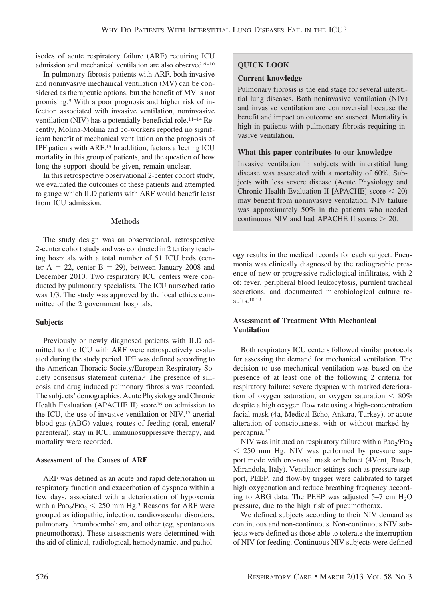isodes of acute respiratory failure (ARF) requiring ICU admission and mechanical ventilation are also observed.<sup>6-10</sup>

In pulmonary fibrosis patients with ARF, both invasive and noninvasive mechanical ventilation (MV) can be considered as therapeutic options, but the benefit of MV is not promising.9 With a poor prognosis and higher risk of infection associated with invasive ventilation, noninvasive ventilation (NIV) has a potentially beneficial role.11–14 Recently, Molina-Molina and co-workers reported no significant benefit of mechanical ventilation on the prognosis of IPF patients with ARF.15 In addition, factors affecting ICU mortality in this group of patients, and the question of how long the support should be given, remain unclear.

In this retrospective observational 2-center cohort study, we evaluated the outcomes of these patients and attempted to gauge which ILD patients with ARF would benefit least from ICU admission.

## **Methods**

The study design was an observational, retrospective 2-center cohort study and was conducted in 2 tertiary teaching hospitals with a total number of 51 ICU beds (center  $A = 22$ , center  $B = 29$ ), between January 2008 and December 2010. Two respiratory ICU centers were conducted by pulmonary specialists. The ICU nurse/bed ratio was 1/3. The study was approved by the local ethics committee of the 2 government hospitals.

## **Subjects**

Previously or newly diagnosed patients with ILD admitted to the ICU with ARF were retrospectively evaluated during the study period. IPF was defined according to the American Thoracic Society/European Respiratory Society consensus statement criteria.3 The presence of silicosis and drug induced pulmonary fibrosis was recorded. The subjects' demographics, Acute Physiology and Chronic Health Evaluation (APACHE II) score<sup>16</sup> on admission to the ICU, the use of invasive ventilation or NIV,<sup>17</sup> arterial blood gas (ABG) values, routes of feeding (oral, enteral/ parenteral), stay in ICU, immunosuppressive therapy, and mortality were recorded.

## **Assessment of the Causes of ARF**

ARF was defined as an acute and rapid deterioration in respiratory function and exacerbation of dyspnea within a few days, associated with a deterioration of hypoxemia with a  $Pao_2/Fio_2 < 250$  mm Hg.<sup>3</sup> Reasons for ARF were grouped as idiopathic, infection, cardiovascular disorders, pulmonary thromboembolism, and other (eg, spontaneous pneumothorax). These assessments were determined with the aid of clinical, radiological, hemodynamic, and pathol-

# **QUICK LOOK**

# **Current knowledge**

Pulmonary fibrosis is the end stage for several interstitial lung diseases. Both noninvasive ventilation (NIV) and invasive ventilation are controversial because the benefit and impact on outcome are suspect. Mortality is high in patients with pulmonary fibrosis requiring invasive ventilation.

# **What this paper contributes to our knowledge**

Invasive ventilation in subjects with interstitial lung disease was associated with a mortality of 60%. Subjects with less severe disease (Acute Physiology and Chronic Health Evaluation II [APACHE] score  $\leq 20$ ) may benefit from noninvasive ventilation. NIV failure was approximately 50% in the patients who needed continuous NIV and had APACHE II scores  $> 20$ .

ogy results in the medical records for each subject. Pneumonia was clinically diagnosed by the radiographic presence of new or progressive radiological infiltrates, with 2 of: fever, peripheral blood leukocytosis, purulent tracheal secretions, and documented microbiological culture results.18,19

# **Assessment of Treatment With Mechanical Ventilation**

Both respiratory ICU centers followed similar protocols for assessing the demand for mechanical ventilation. The decision to use mechanical ventilation was based on the presence of at least one of the following 2 criteria for respiratory failure: severe dyspnea with marked deterioration of oxygen saturation, or oxygen saturation  $< 80\%$ despite a high oxygen flow rate using a high-concentration facial mask (4a, Medical Echo, Ankara, Turkey), or acute alteration of consciousness, with or without marked hypercapnia.17

NIV was initiated on respiratory failure with a  $PaO<sub>2</sub>/FiO<sub>2</sub>$ - 250 mm Hg. NIV was performed by pressure support mode with oro-nasal mask or helmet (4Vent, Rüsch, Mirandola, Italy). Ventilator settings such as pressure support, PEEP, and flow-by trigger were calibrated to target high oxygenation and reduce breathing frequency according to ABG data. The PEEP was adjusted  $5-7$  cm  $H<sub>2</sub>O$ pressure, due to the high risk of pneumothorax.

We defined subjects according to their NIV demand as continuous and non-continuous. Non-continuous NIV subjects were defined as those able to tolerate the interruption of NIV for feeding. Continuous NIV subjects were defined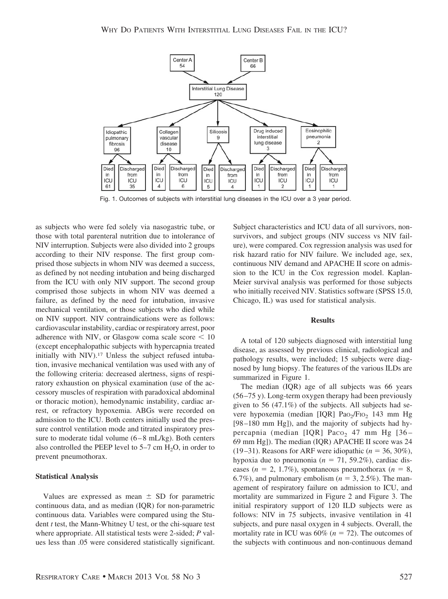

Fig. 1. Outcomes of subjects with interstitial lung diseases in the ICU over a 3 year period.

as subjects who were fed solely via nasogastric tube, or those with total parenteral nutrition due to intolerance of NIV interruption. Subjects were also divided into 2 groups according to their NIV response. The first group comprised those subjects in whom NIV was deemed a success, as defined by not needing intubation and being discharged from the ICU with only NIV support. The second group comprised those subjects in whom NIV was deemed a failure, as defined by the need for intubation, invasive mechanical ventilation, or those subjects who died while on NIV support. NIV contraindications were as follows: cardiovascular instability, cardiac or respiratory arrest, poor adherence with NIV, or Glasgow coma scale score  $\leq 10$ (except encephalopathic subjects with hypercapnia treated initially with NIV).17 Unless the subject refused intubation, invasive mechanical ventilation was used with any of the following criteria: decreased alertness, signs of respiratory exhaustion on physical examination (use of the accessory muscles of respiration with paradoxical abdominal or thoracic motion), hemodynamic instability, cardiac arrest, or refractory hypoxemia. ABGs were recorded on admission to the ICU. Both centers initially used the pressure control ventilation mode and titrated inspiratory pressure to moderate tidal volume (6–8 mL/kg). Both centers also controlled the PEEP level to  $5-7$  cm  $H_2O$ , in order to prevent pneumothorax.

### **Statistical Analysis**

Values are expressed as mean  $\pm$  SD for parametric continuous data, and as median (IQR) for non-parametric continuous data. Variables were compared using the Student *t* test, the Mann-Whitney U test, or the chi-square test where appropriate. All statistical tests were 2-sided; *P* values less than .05 were considered statistically significant. Subject characteristics and ICU data of all survivors, nonsurvivors, and subject groups (NIV success vs NIV failure), were compared. Cox regression analysis was used for risk hazard ratio for NIV failure. We included age, sex, continuous NIV demand and APACHE II score on admission to the ICU in the Cox regression model. Kaplan-Meier survival analysis was performed for those subjects who initially received NIV. Statistics software (SPSS 15.0, Chicago, IL) was used for statistical analysis.

### **Results**

A total of 120 subjects diagnosed with interstitial lung disease, as assessed by previous clinical, radiological and pathology results, were included; 15 subjects were diagnosed by lung biopsy. The features of the various ILDs are summarized in Figure 1.

The median (IQR) age of all subjects was 66 years (56–75 y). Long-term oxygen therapy had been previously given to 56 (47.1%) of the subjects. All subjects had severe hypoxemia (median [IQR]  $PaO<sub>2</sub>/FIO<sub>2</sub>$  143 mm Hg [98–180 mm Hg]), and the majority of subjects had hypercapnia (median [IQR] Paco<sub>2</sub> 47 mm Hg [36– 69 mm Hg]). The median (IQR) APACHE II score was 24 (19–31). Reasons for ARF were idiopathic  $(n = 36, 30\%)$ , hypoxia due to pneumonia ( $n = 71, 59.2\%$ ), cardiac diseases ( $n = 2, 1.7\%$ ), spontaneous pneumothorax ( $n = 8$ , 6.7%), and pulmonary embolism  $(n = 3, 2.5\%)$ . The management of respiratory failure on admission to ICU, and mortality are summarized in Figure 2 and Figure 3. The initial respiratory support of 120 ILD subjects were as follows: NIV in 75 subjects, invasive ventilation in 41 subjects, and pure nasal oxygen in 4 subjects. Overall, the mortality rate in ICU was  $60\%$  ( $n = 72$ ). The outcomes of the subjects with continuous and non-continuous demand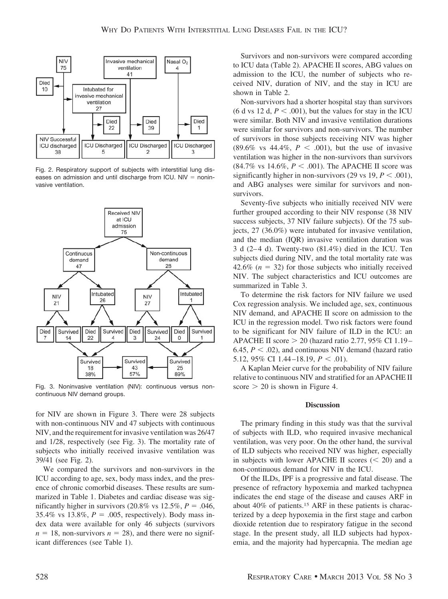

Fig. 2. Respiratory support of subjects with interstitial lung diseases on admission and until discharge from ICU. NIV  $=$  noninvasive ventilation.



Fig. 3. Noninvasive ventilation (NIV): continuous versus noncontinuous NIV demand groups.

for NIV are shown in Figure 3. There were 28 subjects with non-continuous NIV and 47 subjects with continuous NIV, and the requirement for invasive ventilation was 26/47 and 1/28, respectively (see Fig. 3). The mortality rate of subjects who initially received invasive ventilation was 39/41 (see Fig. 2).

We compared the survivors and non-survivors in the ICU according to age, sex, body mass index, and the presence of chronic comorbid diseases. These results are summarized in Table 1. Diabetes and cardiac disease was significantly higher in survivors  $(20.8\% \text{ vs } 12.5\%, P = .046,$ 35.4% vs  $13.8\%$ ,  $P = .005$ , respectively). Body mass index data were available for only 46 subjects (survivors  $n = 18$ , non-survivors  $n = 28$ ), and there were no significant differences (see Table 1).

Survivors and non-survivors were compared according to ICU data (Table 2). APACHE II scores, ABG values on admission to the ICU, the number of subjects who received NIV, duration of NIV, and the stay in ICU are shown in Table 2.

Non-survivors had a shorter hospital stay than survivors  $(6$  d vs 12 d,  $P < .001$ ), but the values for stay in the ICU were similar. Both NIV and invasive ventilation durations were similar for survivors and non-survivors. The number of survivors in those subjects receiving NIV was higher  $(89.6\% \text{ vs } 44.4\%, P < .001)$ , but the use of invasive ventilation was higher in the non-survivors than survivors  $(84.7\% \text{ vs } 14.6\%, P < .001)$ . The APACHE II score was significantly higher in non-survivors  $(29 \text{ vs } 19, P < .001)$ , and ABG analyses were similar for survivors and nonsurvivors.

Seventy-five subjects who initially received NIV were further grouped according to their NIV response (38 NIV success subjects, 37 NIV failure subjects). Of the 75 subjects, 27 (36.0%) were intubated for invasive ventilation, and the median (IQR) invasive ventilation duration was 3 d (2–4 d). Twenty-two (81.4%) died in the ICU. Ten subjects died during NIV, and the total mortality rate was 42.6%  $(n = 32)$  for those subjects who initially received NIV. The subject characteristics and ICU outcomes are summarized in Table 3.

To determine the risk factors for NIV failure we used Cox regression analysis. We included age, sex, continuous NIV demand, and APACHE II score on admission to the ICU in the regression model. Two risk factors were found to be significant for NIV failure of ILD in the ICU: an APACHE II score  $> 20$  (hazard ratio 2.77, 95% CI 1.19– 6.45,  $P < .02$ ), and continuous NIV demand (hazard ratio  $5.12,95\% \text{ CI } 1.44 - 18.19, P < .01$ ).

A Kaplan Meier curve for the probability of NIV failure relative to continuous NIV and stratified for an APACHE II score  $> 20$  is shown in Figure 4.

#### **Discussion**

The primary finding in this study was that the survival of subjects with ILD, who required invasive mechanical ventilation, was very poor. On the other hand, the survival of ILD subjects who received NIV was higher, especially in subjects with lower APACHE II scores  $(< 20$ ) and a non-continuous demand for NIV in the ICU.

Of the ILDs, IPF is a progressive and fatal disease. The presence of refractory hypoxemia and marked tachypnea indicates the end stage of the disease and causes ARF in about 40% of patients.15 ARF in these patients is characterized by a deep hypoxemia in the first stage and carbon dioxide retention due to respiratory fatigue in the second stage. In the present study, all ILD subjects had hypoxemia, and the majority had hypercapnia. The median age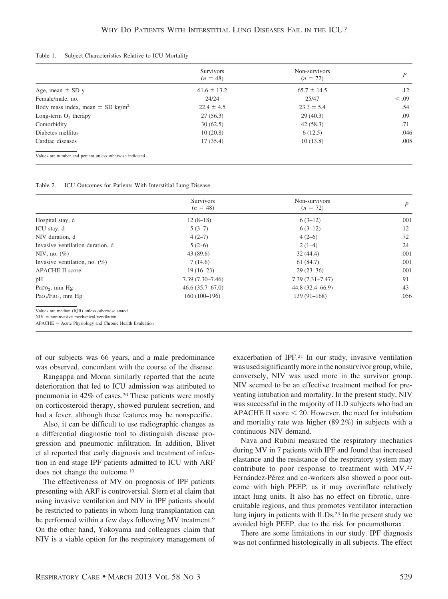#### Table 1. Subject Characteristics Relative to ICU Mortality

|                                                           | <b>Survivors</b><br>$(n = 48)$ | Non-survivors<br>$(n = 72)$ | D       |
|-----------------------------------------------------------|--------------------------------|-----------------------------|---------|
| Age, mean $\pm$ SD y                                      | $61.6 \pm 13.2$                | $65.7 \pm 14.5$             | $.12\,$ |
| Female/male, no.                                          | 24/24                          | 25/47                       | < .09   |
| Body mass index, mean $\pm$ SD kg/m <sup>2</sup>          | $22.4 \pm 4.5$                 | $23.3 \pm 5.4$              | .54     |
| Long-term $O_2$ therapy                                   | 27(56.3)                       | 29(40.3)                    | .09     |
| Comorbidity                                               | 30(62.5)                       | 42(58.3)                    | .71     |
| Diabetes mellitus                                         | 10(20.8)                       | 6(12.5)                     | .046    |
| Cardiac diseases                                          | 17(35.4)                       | 10(13.8)                    | .005    |
| Values are number and percent unless otherwise indicated. |                                |                             |         |

| Table 2. | ICU Outcomes for Patients With Interstitial Lung Disease |  |  |  |  |
|----------|----------------------------------------------------------|--|--|--|--|
|----------|----------------------------------------------------------|--|--|--|--|

|                                                      | <b>Survivors</b>    | Non-survivors       |      |
|------------------------------------------------------|---------------------|---------------------|------|
|                                                      | $(n = 48)$          | $(n = 72)$          | P    |
| Hospital stay, d                                     | $12(8-18)$          | $6(3-12)$           | .001 |
| ICU stay, d                                          | $5(3-7)$            | $6(3-12)$           | .12  |
| NIV duration, d                                      | $4(2-7)$            | $4(2-6)$            | .72  |
| Invasive ventilation duration, d                     | $5(2-6)$            | $2(1-4)$            | .24  |
| NIV, no. $(\%)$                                      | 43(89.6)            | 32(44.4)            | .001 |
| Invasive ventilation, no. $(\%)$                     | 7(14.6)             | 61(84.7)            | .001 |
| APACHE II score                                      | $19(16-23)$         | $29(23-36)$         | .001 |
| pН                                                   | $7.39(7.30 - 7.46)$ | $7.39(7.31 - 7.47)$ | .91  |
| Paco <sub>2</sub> , mm $Hg$                          | 46.6(35.7–67.0)     | $44.8(32.4 - 66.9)$ | .43  |
| Pao <sub>2</sub> /F <sub>IO<sub>2</sub>, mm Hg</sub> | $160(100-196)$      | $139(91-168)$       | .056 |
| Values are median (IQR) unless otherwise stated.     |                     |                     |      |
| $NIV =$ noninvasive mechanical ventilation           |                     |                     |      |

APACHE = Acute Physiology and Chronic Health Evaluation

of our subjects was 66 years, and a male predominance was observed, concordant with the course of the disease.

Rangappa and Moran similarly reported that the acute deterioration that led to ICU admission was attributed to pneumonia in 42% of cases.20 These patients were mostly on corticosteroid therapy, showed purulent secretion, and had a fever, although these features may be nonspecific.

Also, it can be difficult to use radiographic changes as a differential diagnostic tool to distinguish disease progression and pneumonic infiltration. In addition, Blivet et al reported that early diagnosis and treatment of infection in end stage IPF patients admitted to ICU with ARF does not change the outcome.10

The effectiveness of MV on prognosis of IPF patients presenting with ARF is controversial. Stern et al claim that using invasive ventilation and NIV in IPF patients should be restricted to patients in whom lung transplantation can be performed within a few days following MV treatment.<sup>9</sup> On the other hand, Yokoyama and colleagues claim that NIV is a viable option for the respiratory management of exacerbation of IPF.21 In our study, invasive ventilation was used significantly more in the nonsurvivor group, while, conversely, NIV was used more in the survivor group. NIV seemed to be an effective treatment method for preventing intubation and mortality. In the present study, NIV was successful in the majority of ILD subjects who had an APACHE II score  $\leq$  20. However, the need for intubation and mortality rate was higher (89.2%) in subjects with a continuous NIV demand.

Nava and Rubini measured the respiratory mechanics during MV in 7 patients with IPF and found that increased elastance and the resistance of the respiratory system may contribute to poor response to treatment with MV.22 Fernández-Pérez and co-workers also showed a poor outcome with high PEEP, as it may overinflate relatively intact lung units. It also has no effect on fibrotic, unrecruitable regions, and thus promotes ventilator interaction lung injury in patients with ILDs.23 In the present study we avoided high PEEP, due to the risk for pneumothorax.

There are some limitations in our study. IPF diagnosis was not confirmed histologically in all subjects. The effect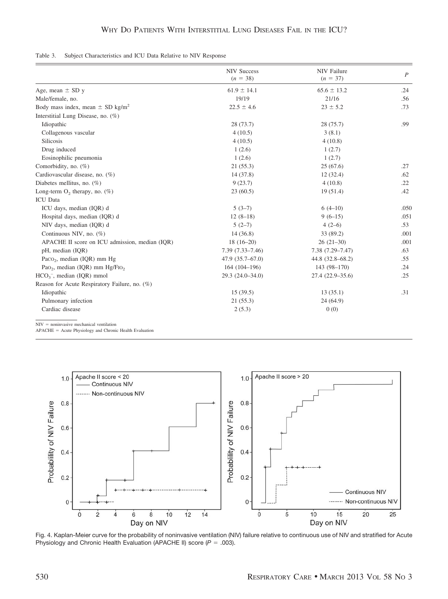| Table 3. Subject Characteristics and ICU Data Relative to NIV Response |
|------------------------------------------------------------------------|
|------------------------------------------------------------------------|

|                                                  | <b>NIV Success</b><br>$(n = 38)$ | <b>NIV</b> Failure<br>$(n = 37)$ | $\overline{P}$ |
|--------------------------------------------------|----------------------------------|----------------------------------|----------------|
| Age, mean $\pm$ SD y                             | $61.9 \pm 14.1$                  | $65.6 \pm 13.2$                  | .24            |
| Male/female, no.                                 | 19/19                            | 21/16                            | .56            |
| Body mass index, mean $\pm$ SD kg/m <sup>2</sup> | $22.5 \pm 4.6$                   | $23 \pm 5.2$                     | .73            |
| Interstitial Lung Disease, no. (%)               |                                  |                                  |                |
| Idiopathic                                       | 28(73.7)                         | 28(75.7)                         | .99            |
| Collagenous vascular                             | 4(10.5)                          | 3(8.1)                           |                |
| <b>Silicosis</b>                                 | 4(10.5)                          | 4(10.8)                          |                |
| Drug induced                                     | 1(2.6)                           | 1(2.7)                           |                |
| Eosinophilic pneumonia                           | 1(2.6)                           | 1(2.7)                           |                |
| Comorbidity, no. $(\%)$                          | 21(55.3)                         | 25(67.6)                         | .27            |
| Cardiovascular disease, no. (%)                  | 14 (37.8)                        | 12(32.4)                         | .62            |
| Diabetes mellitus, no. $(\%)$                    | 9(23.7)                          | 4(10.8)                          | .22            |
| Long-term $O_2$ therapy, no. (%)                 | 23(60.5)                         | 19(51.4)                         | .42            |
| <b>ICU</b> Data                                  |                                  |                                  |                |
| ICU days, median (IQR) d                         | $5(3-7)$                         | $6(4-10)$                        | .050           |
| Hospital days, median (IQR) d                    | $12(8-18)$                       | $9(6-15)$                        | .051           |
| NIV days, median (IQR) d                         | $5(2-7)$                         | $4(2-6)$                         | .53            |
| Continuous NIV, no. (%)                          | 14(36.8)                         | 33 (89.2)                        | .001           |
| APACHE II score on ICU admission, median (IOR)   | $18(16-20)$                      | $26(21-30)$                      | .001           |
| pH, median (IQR)                                 | $7.39(7.33 - 7.46)$              | $7.38(7.29 - 7.47)$              | .63            |
| Paco <sub>2</sub> , median (IQR) mm Hg           | $47.9(35.7 - 67.0)$              | 44.8 (32.8–68.2)                 | .55            |
| Pao <sub>2</sub> , median (IQR) mm $Hg/FIO2$     | 164 (104-196)                    | 143 (98-170)                     | .24            |
| $HCO3$ , median (IQR) mmol                       | 29.3 (24.0-34.0)                 | 27.4 (22.9-35.6)                 | .25            |
| Reason for Acute Respiratory Failure, no. (%)    |                                  |                                  |                |
| Idiopathic                                       | 15(39.5)                         | 13(35.1)                         | .31            |
| Pulmonary infection                              | 21(55.3)                         | 24(64.9)                         |                |
| Cardiac disease                                  | 2(5.3)                           | 0(0)                             |                |

 $NIV =$  noninvasive mechanical ventilation

APACHE = Acute Physiology and Chronic Health Evaluation



Fig. 4. Kaplan-Meier curve for the probability of noninvasive ventilation (NIV) failure relative to continuous use of NIV and stratified for Acute Physiology and Chronic Health Evaluation (APACHE II) score  $(P = .003)$ .